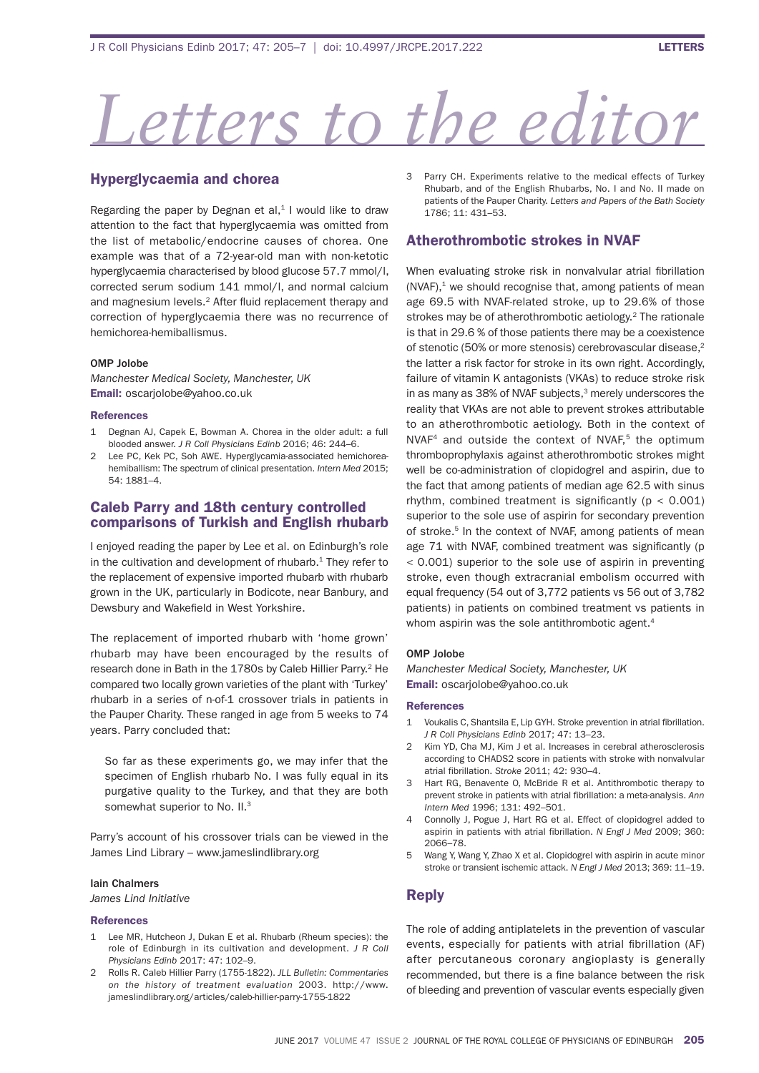# Letters to the edite

# Hyperglycaemia and chorea

Regarding the paper by Degnan et al, $1$  i would like to draw attention to the fact that hyperglycaemia was omitted from the list of metabolic/endocrine causes of chorea. one example was that of a 72-year-old man with non-ketotic hyperglycaemia characterised by blood glucose 57.7 mmol/l, corrected serum sodium 141 mmol/l, and normal calcium and magnesium levels.<sup>2</sup> After fluid replacement therapy and correction of hyperglycaemia there was no recurrence of hemichorea-hemiballismus.

## OMP Jolobe

*Manchester Medical Society, Manchester, UK* Email: oscarjolobe@yahoo.co.uk

## References

- 1 Degnan AJ, Capek E, Bowman A. Chorea in the older adult: a full blooded answer. *J R Coll Physicians Edinb* 2016; 46: 244–6.
- Lee PC, Kek PC, Soh AWE. Hyperglycamia-associated hemichoreahemiballism: The spectrum of clinical presentation. *Intern Med* 2015; 54: 1881–4.

# Caleb Parry and 18th century controlled comparisons of Turkish and English rhubarb

I enjoyed reading the paper by Lee et al. on Edinburgh's role in the cultivation and development of rhubarb. $1$  They refer to the replacement of expensive imported rhubarb with rhubarb grown in the UK, particularly in Bodicote, near Banbury, and Dewsbury and Wakefield in West Yorkshire.

The replacement of imported rhubarb with 'home grown' rhubarb may have been encouraged by the results of research done in Bath in the 1780s by Caleb Hillier Parry.<sup>2</sup> He compared two locally grown varieties of the plant with 'Turkey' rhubarb in a series of n-of-1 crossover trials in patients in the Pauper Charity. These ranged in age from 5 weeks to 74 years. Parry concluded that:

so far as these experiments go, we may infer that the specimen of English rhubarb No. I was fully equal in its purgative quality to the Turkey, and that they are both somewhat superior to No. II.<sup>3</sup>

Parry's account of his crossover trials can be viewed in the James lind library – www.jameslindlibrary.org

## Iain Chalmers

*James Lind Initiative*

### References

- 1 Lee MR, Hutcheon J, Dukan E et al. Rhubarb (Rheum species): the role of edinburgh in its cultivation and development. *J R Coll Physicians Edinb* 2017: 47: 102–9.
- 2 rolls r. Caleb hillier Parry (1755-1822). *JLL Bulletin: Commentaries on the history of treatment evaluation* 2003. http://www. jameslindlibrary.org/articles/caleb-hillier-parry-1755-1822

3 Parry CH. Experiments relative to the medical effects of Turkey Rhubarb, and of the English Rhubarbs, No. I and No. II made on patients of the Pauper Charity. *Letters and Papers of the Bath Society*  1786; 11: 431–53.

# Atherothrombotic strokes in NVAF

When evaluating stroke risk in nonvalvular atrial fibrillation  $(NVAF),<sup>1</sup>$  we should recognise that, among patients of mean age 69.5 with NVAF-related stroke, up to 29.6% of those strokes may be of atherothrombotic aetiology.<sup>2</sup> The rationale is that in 29.6 % of those patients there may be a coexistence of stenotic (50% or more stenosis) cerebrovascular disease,<sup>2</sup> the latter a risk factor for stroke in its own right. Accordingly, failure of vitamin K antagonists (VKAs) to reduce stroke risk in as many as  $38\%$  of NVAF subjects, $3$  merely underscores the reality that vKas are not able to prevent strokes attributable to an atherothrombotic aetiology. Both in the context of  $NVAF<sup>4</sup>$  and outside the context of NVAF,<sup>5</sup> the optimum thromboprophylaxis against atherothrombotic strokes might well be co-administration of clopidogrel and aspirin, due to the fact that among patients of median age 62.5 with sinus rhythm, combined treatment is significantly ( $p < 0.001$ ) superior to the sole use of aspirin for secondary prevention of stroke.<sup>5</sup> In the context of NVAF, among patients of mean age 71 with NVAF, combined treatment was significantly (p < 0.001) superior to the sole use of aspirin in preventing stroke, even though extracranial embolism occurred with equal frequency (54 out of 3,772 patients vs 56 out of 3,782 patients) in patients on combined treatment vs patients in whom aspirin was the sole antithrombotic agent.<sup>4</sup>

## OMP Jolobe

*Manchester Medical Society, Manchester, UK* Email: oscarjolobe@yahoo.co.uk

## References

- 1 Voukalis C, Shantsila E, Lip GYH. Stroke prevention in atrial fibrillation. *J R Coll Physicians Edinb* 2017; 47: 13–23.
- 2 Kim YD, Cha MJ, Kim J et al. Increases in cerebral atherosclerosis according to CHADS2 score in patients with stroke with nonvalvular atrial fibrillation. *Stroke* 2011; 42: 930–4.
- 3 Hart RG, Benavente O, McBride R et al. Antithrombotic therapy to prevent stroke in patients with atrial fibrillation: a meta-analysis. *Ann Intern Med* 1996; 131: 492–501.
- 4 Connolly J, Pogue J, Hart RG et al. Effect of clopidogrel added to aspirin in patients with atrial fibrillation. *N Engl J Med* 2009; 360: 2066–78.
- 5 Wang y, Wang y, Zhao X et al. Clopidogrel with aspirin in acute minor stroke or transient ischemic attack. *N Engl J Med* 2013; 369: 11–19.

# Reply

The role of adding antiplatelets in the prevention of vascular events, especially for patients with atrial fibrillation (AF) after percutaneous coronary angioplasty is generally recommended, but there is a fine balance between the risk of bleeding and prevention of vascular events especially given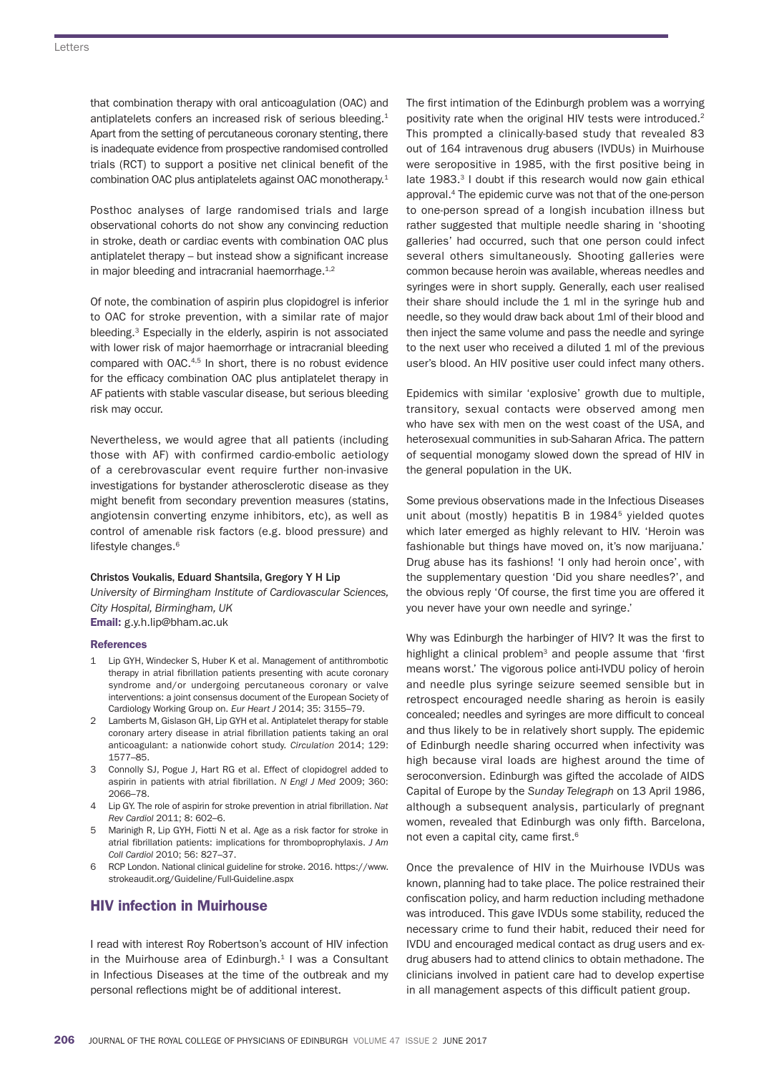that combination therapy with oral anticoagulation (OAC) and antiplatelets confers an increased risk of serious bleeding.<sup>1</sup> Apart from the setting of percutaneous coronary stenting, there is inadequate evidence from prospective randomised controlled trials (RCT) to support a positive net clinical benefit of the combination OAC plus antiplatelets against OAC monotherapy.<sup>1</sup>

Posthoc analyses of large randomised trials and large observational cohorts do not show any convincing reduction in stroke, death or cardiac events with combination OAC plus antiplatelet therapy – but instead show a significant increase in major bleeding and intracranial haemorrhage.<sup>1,2</sup>

of note, the combination of aspirin plus clopidogrel is inferior to oaC for stroke prevention, with a similar rate of major bleeding.<sup>3</sup> Especially in the elderly, aspirin is not associated with lower risk of major haemorrhage or intracranial bleeding compared with OAC.<sup>4,5</sup> In short, there is no robust evidence for the efficacy combination OAC plus antiplatelet therapy in AF patients with stable vascular disease, but serious bleeding risk may occur.

nevertheless, we would agree that all patients (including those with af) with confirmed cardio-embolic aetiology of a cerebrovascular event require further non-invasive investigations for bystander atherosclerotic disease as they might benefit from secondary prevention measures (statins, angiotensin converting enzyme inhibitors, etc), as well as control of amenable risk factors (e.g. blood pressure) and lifestyle changes.<sup>6</sup>

# Christos Voukalis, Eduard Shantsila, Gregory Y H Lip

*University of Birmingham Institute of Cardiovascular Sciences, City Hospital, Birmingham, UK* Email: g.y.h.lip@bham.ac.uk

### **References**

- 1 lip gyh, Windecker s, huber K et al. management of antithrombotic therapy in atrial fibrillation patients presenting with acute coronary syndrome and/or undergoing percutaneous coronary or valve interventions: a joint consensus document of the European Society of Cardiology Working group on. *Eur Heart J* 2014; 35: 3155–79.
- 2 Lamberts M, Gislason GH, Lip GYH et al. Antiplatelet therapy for stable coronary artery disease in atrial fibrillation patients taking an oral anticoagulant: a nationwide cohort study. *Circulation* 2014; 129: 1577–85.
- 3 Connolly SJ, Pogue J, Hart RG et al. Effect of clopidogrel added to aspirin in patients with atrial fibrillation. *N Engl J Med* 2009; 360: 2066–78.
- 4 lip gy. the role of aspirin for stroke prevention in atrial fibrillation. *Nat Rev Cardiol* 2011; 8: 602–6.
- 5 Marinigh R, Lip GYH, Fiotti N et al. Age as a risk factor for stroke in atrial fibrillation patients: implications for thromboprophylaxis. *J Am Coll Cardiol* 2010; 56: 827–37.
- 6 rCP london. national clinical guideline for stroke. 2016. https://www. strokeaudit.org/Guideline/Full-Guideline.aspx

# HIV infection in Muirhouse

I read with interest Rov Robertson's account of HIV infection in the Muirhouse area of Edinburgh. $1$  I was a Consultant in Infectious Diseases at the time of the outbreak and my personal reflections might be of additional interest.

The first intimation of the Edinburgh problem was a worrying positivity rate when the original HIV tests were introduced.<sup>2</sup> This prompted a clinically-based study that revealed 83 out of 164 intravenous drug abusers (IVDUs) in Muirhouse were seropositive in 1985, with the first positive being in late 1983.<sup>3</sup> I doubt if this research would now gain ethical approval.<sup>4</sup> The epidemic curve was not that of the one-person to one-person spread of a longish incubation illness but rather suggested that multiple needle sharing in 'shooting galleries' had occurred, such that one person could infect several others simultaneously. shooting galleries were common because heroin was available, whereas needles and syringes were in short supply. Generally, each user realised their share should include the 1 ml in the syringe hub and needle, so they would draw back about 1ml of their blood and then inject the same volume and pass the needle and syringe to the next user who received a diluted 1 ml of the previous user's blood. An HIV positive user could infect many others.

Epidemics with similar 'explosive' growth due to multiple, transitory, sexual contacts were observed among men who have sex with men on the west coast of the USA, and heterosexual communities in sub-Saharan Africa. The pattern of sequential monogamy slowed down the spread of hiv in the general population in the UK.

Some previous observations made in the Infectious Diseases unit about (mostly) hepatitis B in 1984<sup>5</sup> yielded quotes which later emerged as highly relevant to HIV. 'Heroin was fashionable but things have moved on, it's now marijuana.' Drug abuse has its fashions! 'I only had heroin once', with the supplementary question 'Did you share needles?', and the obvious reply 'Of course, the first time you are offered it you never have your own needle and syringe.'

Why was Edinburgh the harbinger of HIV? It was the first to highlight a clinical problem<sup>3</sup> and people assume that 'first means worst.' The vigorous police anti-IVDU policy of heroin and needle plus syringe seizure seemed sensible but in retrospect encouraged needle sharing as heroin is easily concealed; needles and syringes are more difficult to conceal and thus likely to be in relatively short supply. The epidemic of Edinburgh needle sharing occurred when infectivity was high because viral loads are highest around the time of seroconversion. Edinburgh was gifted the accolade of AIDS Capital of Europe by the *Sunday Telegraph* on 13 April 1986. although a subsequent analysis, particularly of pregnant women, revealed that Edinburgh was only fifth. Barcelona, not even a capital city, came first.<sup>6</sup>

Once the prevalence of HIV in the Muirhouse IVDUs was known, planning had to take place. The police restrained their confiscation policy, and harm reduction including methadone was introduced. This gave IVDUs some stability, reduced the necessary crime to fund their habit, reduced their need for IVDU and encouraged medical contact as drug users and exdrug abusers had to attend clinics to obtain methadone. The clinicians involved in patient care had to develop expertise in all management aspects of this difficult patient group.